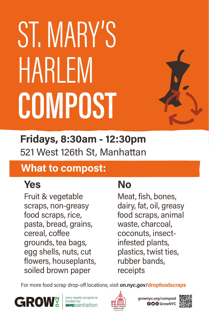**GO** GrowNYC grownyc.org/compost



# ST. MARY'S HARLEM COMPOST



#### What to compost:

Fruit & vegetable scraps, non-greasy food scraps, rice, pasta, bread, grains, cereal, coffee grounds, tea bags, egg shells, nuts, cut flowers, houseplants, soiled brown paper

### 521 West 126th St, Manhattan Fridays, 8:30am - 12:30pm

#### Yes

Meat, fish, bones, dairy, fat, oil, greasy food scraps, animal waste, charcoal, coconuts, insectinfested plants, plastics, twist ties, rubber bands, receipts

For more food scrap drop-off locations, visit on.nyc.gov/dropfoodscraps



zero waste programs funded by wesanitation



#### No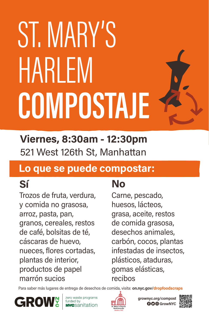**GO**@GrowNYC grownyc.org/compost



#### Lo que se puede compostar:

Trozos de fruta, verdura, y comida no grasosa, arroz, pasta, pan, granos, cereales, restos de café, bolsitas de té, cáscaras de huevo, nueces, flores cortadas, plantas de interior, productos de papel marrón sucios

# ST. MARY'S HARLEM COMPOSTAJE



521 West 126th St, Manhattan Viernes, 8:30am - 12:30pm

#### Sí

Carne, pescado, huesos, lácteos, grasa, aceite, restos de comida grasosa, desechos animales, carbón, cocos, plantas infestadas de insectos, plásticos, ataduras, gomas elásticas, recibos

Para saber más lugares de entrega de desechos de comida, visita: on.nyc.gov/dropfoodscraps



zero waste programs funded by<br>**NYC**Sanitation



#### No